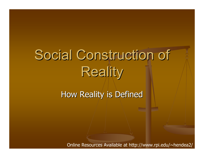# Social Construction of Reality

How Reality is Defined

Online Resources Available at http://www.rpi.edu/~hendea2/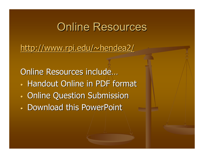#### **Online Resources**

<http://www.rpi.edu/~hendea2/>

Online Resources include…

- Handout Online in PDF format
- •**• Online Question Submission**
- Download this PowerPoint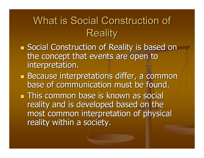### What is Social Construction of **Reality**

- **Social Construction of Reality is based on Social Construction of Reality is based on** the concept that events are open to interpretation.
- Because interpretations differ, a common base of communication must be found.
- **This common base is known as social** reality and is developed based on the most common interpretation of physical reality within a society.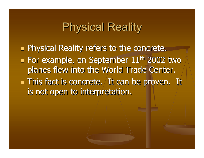## **Physical Reality**

**Physical Reality refers to the concrete.** For example, on September  $11<sup>th</sup>$  2002 two planes flew into the World Trade Center.  $\blacksquare$  This fact is concrete. It can be proven. It  $\blacksquare$ is not open to interpretation.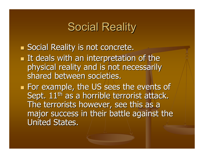#### **Social Reality**

- **Social Reality is not concrete.**
- **It deals with an interpretation of the** physical reality and is not necessarily physical reality and is not necessarily shared between societies.
- **For example, the US sees the events of For example, the US sees the events of** Sept. 11<sup>th</sup> as a horrible terrorist attack. The terrorists however, see this as a major success in their battle against the United States.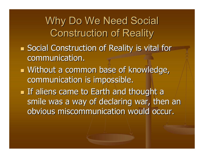Why Do We Need Social **Construction of Reality** 

- **Social Construction of Reality is vital for** communication.
- **Nithout a common base of knowledge,** communication is impossible.

**If aliens came to Earth and thought a** smile was a way of declaring war, then an obvious miscommunication would occur.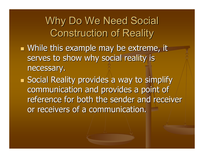Why Do We Need Social **Construction of Reality** 

**Nhile this example may be extreme, it** serves to show why social reality is necessary.

**Social Reality provides a way to simplify** communication and provides a point of reference for both the sender and receiver or receivers of a communication.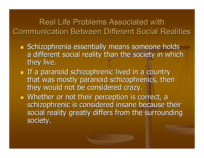Real Life Problems Associated with Communication Between Different Social Realities

- **COL** Schizophrenia essentially means someone holds a different social reality than the society in which they live.
- **COL** If a paranoid schizophrenic lived in a country that was mostly paranoid schizophrenics, then they would not be considered crazy.
- **COL**  $\blacksquare$  Whether or not their perception is correct, a schizophrenic is considered insane because their social reality greatly differs from the surrounding society.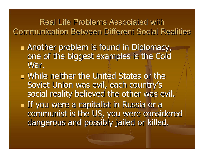Real Life Problems Associated with Communication Between Different Social Realities

- **Another problem is found in Diplomacy,** one of the biggest examples is the Cold War.
- $\blacksquare$  While neither the United States or the Soviet Union was evil, each country's social reality believed the other was evil.

**If you were a capitalist in Russia or a** communist is the US, you were considered dangerous and possibly jailed or killed.